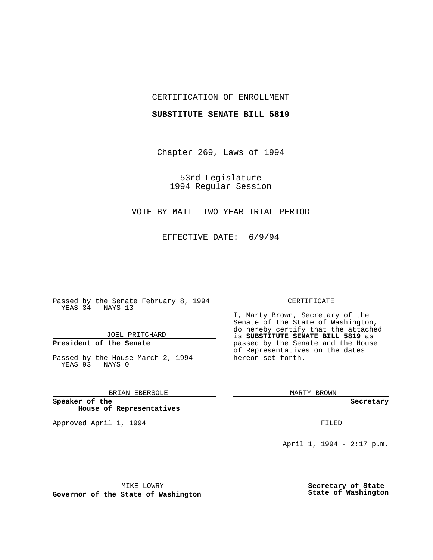## CERTIFICATION OF ENROLLMENT

#### **SUBSTITUTE SENATE BILL 5819**

Chapter 269, Laws of 1994

53rd Legislature 1994 Regular Session

VOTE BY MAIL--TWO YEAR TRIAL PERIOD

EFFECTIVE DATE: 6/9/94

Passed by the Senate February 8, 1994 YEAS 34 NAYS 13

JOEL PRITCHARD

# **President of the Senate**

Passed by the House March 2, 1994 YEAS 93 NAYS 0

## BRIAN EBERSOLE

**Speaker of the House of Representatives**

Approved April 1, 1994 **FILED** 

#### CERTIFICATE

I, Marty Brown, Secretary of the Senate of the State of Washington, do hereby certify that the attached is **SUBSTITUTE SENATE BILL 5819** as passed by the Senate and the House of Representatives on the dates hereon set forth.

MARTY BROWN

**Secretary**

April 1, 1994 - 2:17 p.m.

MIKE LOWRY

**Governor of the State of Washington**

**Secretary of State State of Washington**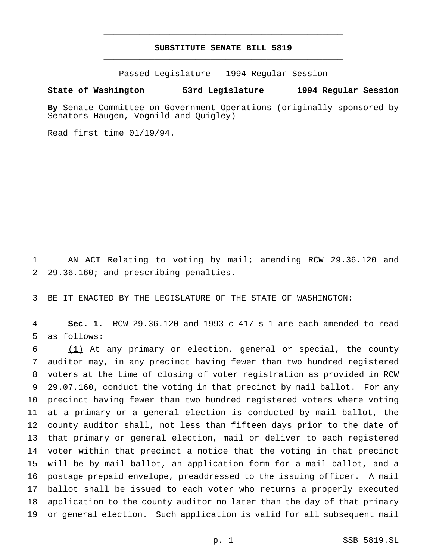# **SUBSTITUTE SENATE BILL 5819** \_\_\_\_\_\_\_\_\_\_\_\_\_\_\_\_\_\_\_\_\_\_\_\_\_\_\_\_\_\_\_\_\_\_\_\_\_\_\_\_\_\_\_\_\_\_\_

\_\_\_\_\_\_\_\_\_\_\_\_\_\_\_\_\_\_\_\_\_\_\_\_\_\_\_\_\_\_\_\_\_\_\_\_\_\_\_\_\_\_\_\_\_\_\_

Passed Legislature - 1994 Regular Session

### **State of Washington 53rd Legislature 1994 Regular Session**

**By** Senate Committee on Government Operations (originally sponsored by Senators Haugen, Vognild and Quigley)

Read first time 01/19/94.

 AN ACT Relating to voting by mail; amending RCW 29.36.120 and 29.36.160; and prescribing penalties.

BE IT ENACTED BY THE LEGISLATURE OF THE STATE OF WASHINGTON:

 **Sec. 1.** RCW 29.36.120 and 1993 c 417 s 1 are each amended to read as follows:

 (1) At any primary or election, general or special, the county auditor may, in any precinct having fewer than two hundred registered voters at the time of closing of voter registration as provided in RCW 29.07.160, conduct the voting in that precinct by mail ballot. For any precinct having fewer than two hundred registered voters where voting at a primary or a general election is conducted by mail ballot, the county auditor shall, not less than fifteen days prior to the date of that primary or general election, mail or deliver to each registered voter within that precinct a notice that the voting in that precinct will be by mail ballot, an application form for a mail ballot, and a postage prepaid envelope, preaddressed to the issuing officer. A mail ballot shall be issued to each voter who returns a properly executed application to the county auditor no later than the day of that primary or general election. Such application is valid for all subsequent mail